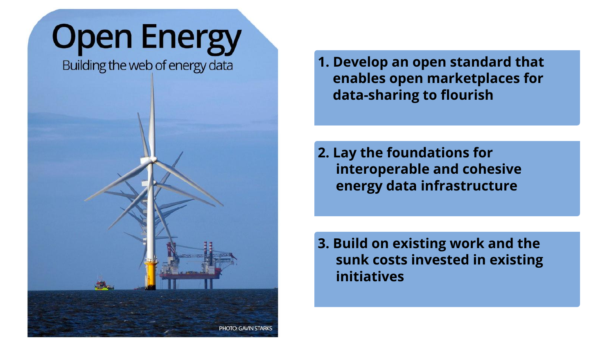# **Open Energy**

Building the web of energy data



**1. Develop an open standard that enables open marketplaces for data-sharing to flourish**

**2. Lay the foundations for interoperable and cohesive energy data infrastructure**

**3. Build on existing work and the sunk costs invested in existing initiatives**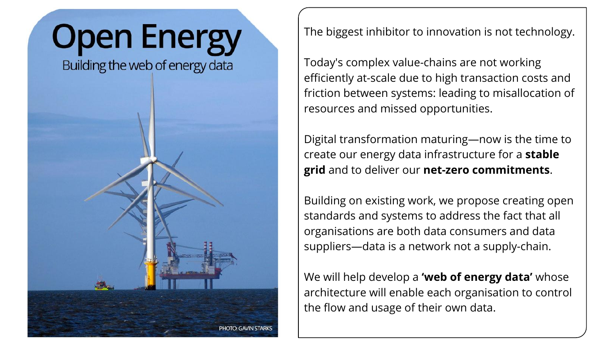# **Open Energy**

Building the web of energy data



The biggest inhibitor to innovation is not technology.

Today's complex value-chains are not working efficiently at-scale due to high transaction costs and friction between systems: leading to misallocation of resources and missed opportunities.

Digital transformation maturing—now is the time to create our energy data infrastructure for a **stable grid** and to deliver our **net-zero commitments**.

Building on existing work, we propose creating open standards and systems to address the fact that all organisations are both data consumers and data suppliers—data is a network not a supply-chain.

We will help develop a **'web of energy data'** whose architecture will enable each organisation to control the flow and usage of their own data.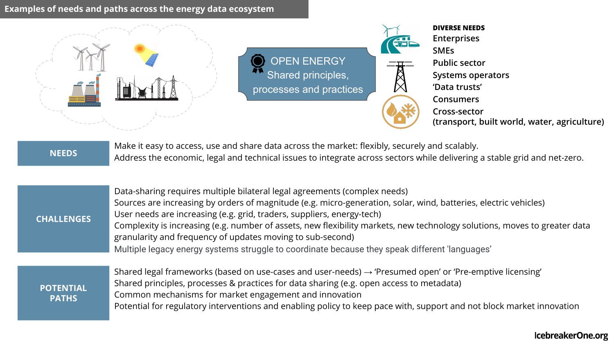## **Examples of needs and paths across the energy data ecosystem**



OPEN ENERGY Shared principles, processes and practices



Make it easy to access, use and share data across the market: flexibly, securely and scalably. Address the economic, legal and technical issues to integrate across sectors while delivering a stable grid and net-zero. **NEEDS**

| <b>CHALLENGES</b> | Data-sharing requires multiple bilateral legal agreements (complex needs)<br>Sources are increasing by orders of magnitude (e.g. micro-generation, solar, wind, batteries, electric vehicles)<br>User needs are increasing (e.g. grid, traders, suppliers, energy-tech)<br>Complexity is increasing (e.g. number of assets, new flexibility markets, new technology solutions, moves to greater data<br>granularity and frequency of updates moving to sub-second)<br>Multiple legacy energy systems struggle to coordinate because they speak different 'languages' |
|-------------------|----------------------------------------------------------------------------------------------------------------------------------------------------------------------------------------------------------------------------------------------------------------------------------------------------------------------------------------------------------------------------------------------------------------------------------------------------------------------------------------------------------------------------------------------------------------------|
|                   |                                                                                                                                                                                                                                                                                                                                                                                                                                                                                                                                                                      |

| POTENTIAL | Shared legal frameworks (based on use-cases and user-needs) $\rightarrow$ 'Presumed open' or 'Pre-emptive licensing'  |
|-----------|-----------------------------------------------------------------------------------------------------------------------|
|           | Shared principles, processes & practices for data sharing (e.g. open access to metadata)                              |
|           | Common mechanisms for market engagement and innovation                                                                |
|           | Potential for regulatory interventions and enabling policy to keep pace with, support and not block market innovation |
|           | <b>PATHS</b>                                                                                                          |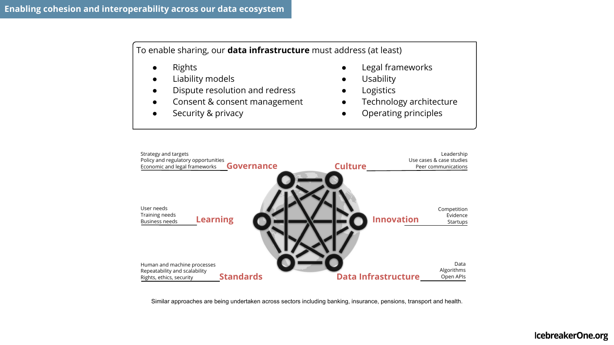To enable sharing, our **data infrastructure** must address (at least)

- **Rights**
- **Liability models**
- Dispute resolution and redress
- Consent & consent management
- Security & privacy
- Legal frameworks
- **Usability**
- Logistics
- Technology architecture
- Operating principles



Similar approaches are being undertaken across sectors including banking, insurance, pensions, transport and health.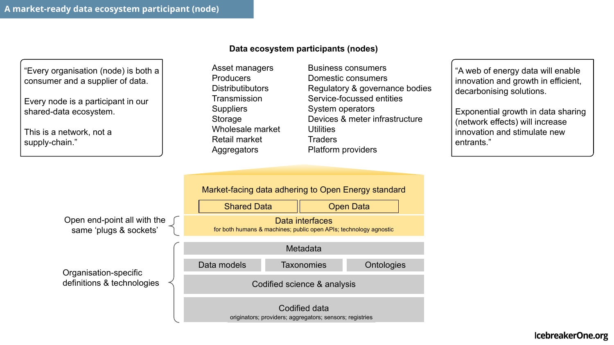"Every organisation (node) is both a consumer and a supplier of data.

Every node is a participant in our shared-data ecosystem.

This is a network, not a supply-chain."

#### **Data ecosystem participants (nodes)**

Asset managers Producers **Distributibutors Transmission Suppliers** Storage Wholesale market Retail market **Aggregators** 

Business consumers Domestic consumers Regulatory & governance bodies Service-focussed entities System operators Devices & meter infrastructure **Utilities Traders** Platform providers

"A web of energy data will enable innovation and growth in efficient, decarbonising solutions.

Exponential growth in data sharing (network effects) will increase innovation and stimulate new entrants."

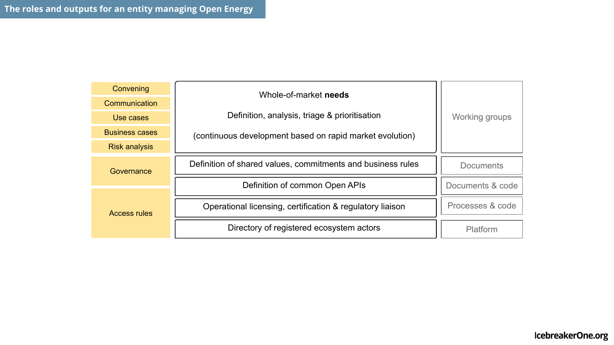| Convening             | Whole-of-market needs                                       |                  |
|-----------------------|-------------------------------------------------------------|------------------|
| Communication         |                                                             |                  |
| Use cases             | Definition, analysis, triage & prioritisation               | Working groups   |
| <b>Business cases</b> | (continuous development based on rapid market evolution)    |                  |
| <b>Risk analysis</b>  |                                                             |                  |
| Governance            | Definition of shared values, commitments and business rules | Documents        |
|                       | Definition of common Open APIs                              | Documents & code |
| Access rules          | Operational licensing, certification & regulatory liaison   | Processes & code |
|                       | Directory of registered ecosystem actors                    | Platform         |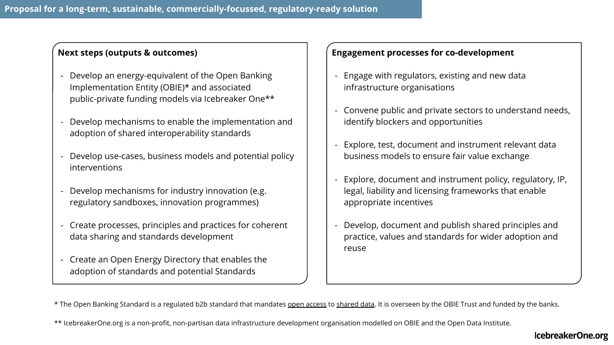### **Next steps (outputs & outcomes)**

- Develop an energy-equivalent of the Open Banking Implementation Entity (OBIE)\* and associated public-private funding models via Icebreaker One\*\*
- Develop mechanisms to enable the implementation and adoption of shared interoperability standards
- Develop use-cases, business models and potential policy interventions
- Develop mechanisms for industry innovation (e.g. regulatory sandboxes, innovation programmes)
- Create processes, principles and practices for coherent data sharing and standards development
- Create an Open Energy Directory that enables the adoption of standards and potential Standards

## **Engagement processes for co-development**

- Engage with regulators, existing and new data infrastructure organisations
- Convene public and private sectors to understand needs, identify blockers and opportunities
- Explore, test, document and instrument relevant data business models to ensure fair value exchange
- Explore, document and instrument policy, regulatory, IP, legal, liability and licensing frameworks that enable appropriate incentives
- Develop, document and publish shared principles and practice, values and standards for wider adoption and reuse

\* The Open Banking Standard is a regulated b2b standard that mandates open access to shared data. It is overseen by the OBIE Trust and funded by the banks.

\*\* IcebreakerOne.org is a non-profit, non-partisan data infrastructure development organisation modelled on OBIE and the Open Data Institute.